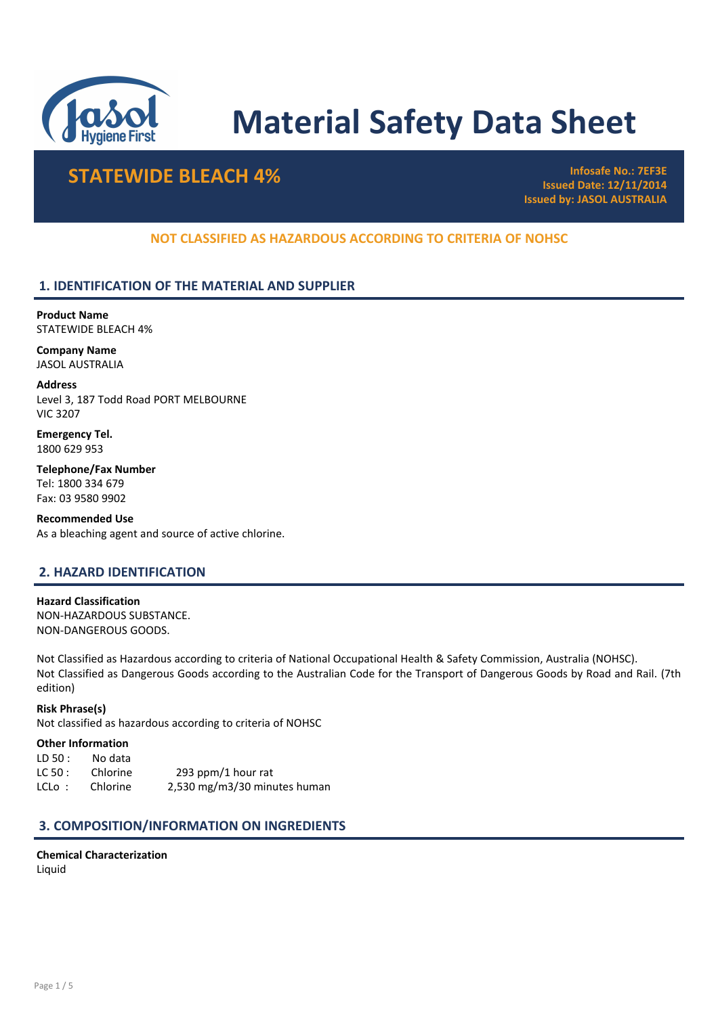

# Material Safety Data Sheet

## STATEWIDE BLEACH 4% Infosafe No.: 7EF3E

Issued Date: 12/11/2014 Issued by: JASOL AUSTRALIA

## NOT CLASSIFIED AS HAZARDOUS ACCORDING TO CRITERIA OF NOHSC

## 1. IDENTIFICATION OF THE MATERIAL AND SUPPLIER

Product Name STATEWIDE BLEACH 4%

Company Name JASOL AUSTRALIA

Address Level 3, 187 Todd Road PORT MELBOURNE VIC 3207

Emergency Tel. 1800 629 953

Telephone/Fax Number Tel: 1800 334 679 Fax: 03 9580 9902

Recommended Use As a bleaching agent and source of active chlorine.

## 2. HAZARD IDENTIFICATION

Hazard Classification NON-HAZARDOUS SUBSTANCE. NON-DANGEROUS GOODS.

Not Classified as Hazardous according to criteria of National Occupational Health & Safety Commission, Australia (NOHSC). Not Classified as Dangerous Goods according to the Australian Code for the Transport of Dangerous Goods by Road and Rail. (7th edition)

## Risk Phrase(s)

Not classified as hazardous according to criteria of NOHSC

## Other Information

| LD 50: | No data  |                              |
|--------|----------|------------------------------|
| LC50:  | Chlorine | 293 ppm/1 hour rat           |
| LCLo : | Chlorine | 2,530 mg/m3/30 minutes human |

## 3. COMPOSITION/INFORMATION ON INGREDIENTS

Chemical Characterization Liquid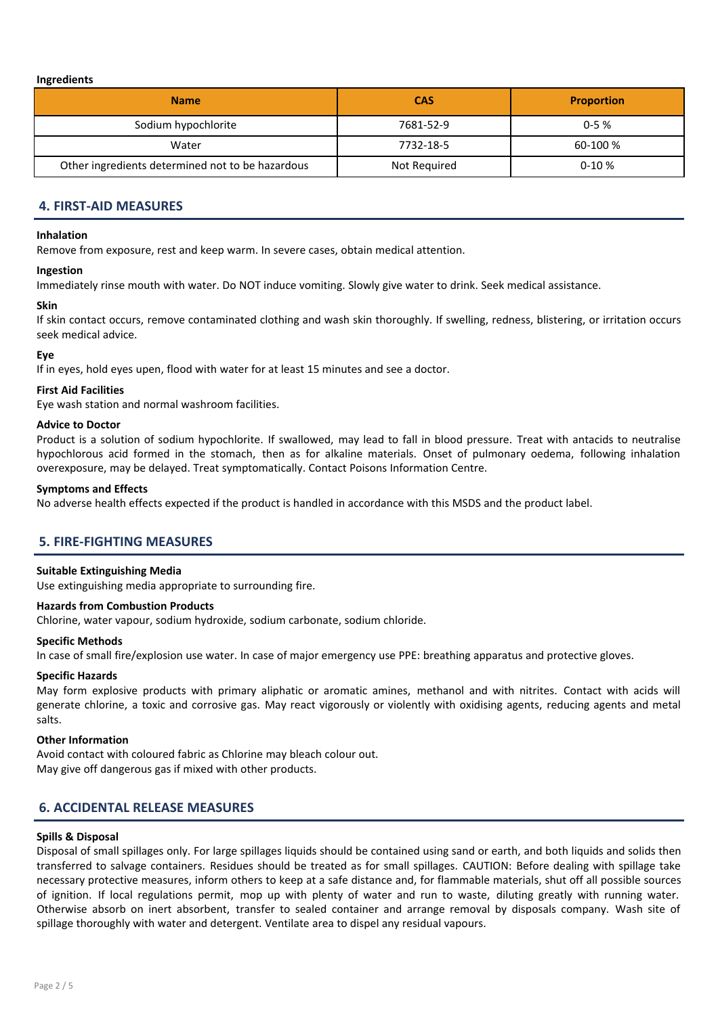## Ingredients

| <b>Name</b>                                      | <b>CAS</b>   | <b>Proportion</b> |
|--------------------------------------------------|--------------|-------------------|
| Sodium hypochlorite                              | 7681-52-9    | $0-5%$            |
| Water                                            | 7732-18-5    | 60-100 %          |
| Other ingredients determined not to be hazardous | Not Required | $0-10%$           |

## 4. FIRST-AID MEASURES

## Inhalation

Remove from exposure, rest and keep warm. In severe cases, obtain medical attention.

## Ingestion

Immediately rinse mouth with water. Do NOT induce vomiting. Slowly give water to drink. Seek medical assistance.

## Skin

If skin contact occurs, remove contaminated clothing and wash skin thoroughly. If swelling, redness, blistering, or irritation occurs seek medical advice.

## Eye

If in eyes, hold eyes upen, flood with water for at least 15 minutes and see a doctor.

## First Aid Facilities

Eye wash station and normal washroom facilities.

## Advice to Doctor

Product is a solution of sodium hypochlorite. If swallowed, may lead to fall in blood pressure. Treat with antacids to neutralise hypochlorous acid formed in the stomach, then as for alkaline materials. Onset of pulmonary oedema, following inhalation overexposure, may be delayed. Treat symptomatically. Contact Poisons Information Centre.

## Symptoms and Effects

No adverse health effects expected if the product is handled in accordance with this MSDS and the product label.

## 5. FIRE-FIGHTING MEASURES

## Suitable Extinguishing Media

Use extinguishing media appropriate to surrounding fire.

#### Hazards from Combustion Products

Chlorine, water vapour, sodium hydroxide, sodium carbonate, sodium chloride.

## Specific Methods

In case of small fire/explosion use water. In case of major emergency use PPE: breathing apparatus and protective gloves.

## Specific Hazards

May form explosive products with primary aliphatic or aromatic amines, methanol and with nitrites. Contact with acids will generate chlorine, a toxic and corrosive gas. May react vigorously or violently with oxidising agents, reducing agents and metal salts.

#### Other Information

Avoid contact with coloured fabric as Chlorine may bleach colour out. May give off dangerous gas if mixed with other products.

## 6. ACCIDENTAL RELEASE MEASURES

## Spills & Disposal

Disposal of small spillages only. For large spillages liquids should be contained using sand or earth, and both liquids and solids then transferred to salvage containers. Residues should be treated as for small spillages. CAUTION: Before dealing with spillage take necessary protective measures, inform others to keep at a safe distance and, for flammable materials, shut off all possible sources of ignition. If local regulations permit, mop up with plenty of water and run to waste, diluting greatly with running water. Otherwise absorb on inert absorbent, transfer to sealed container and arrange removal by disposals company. Wash site of spillage thoroughly with water and detergent. Ventilate area to dispel any residual vapours.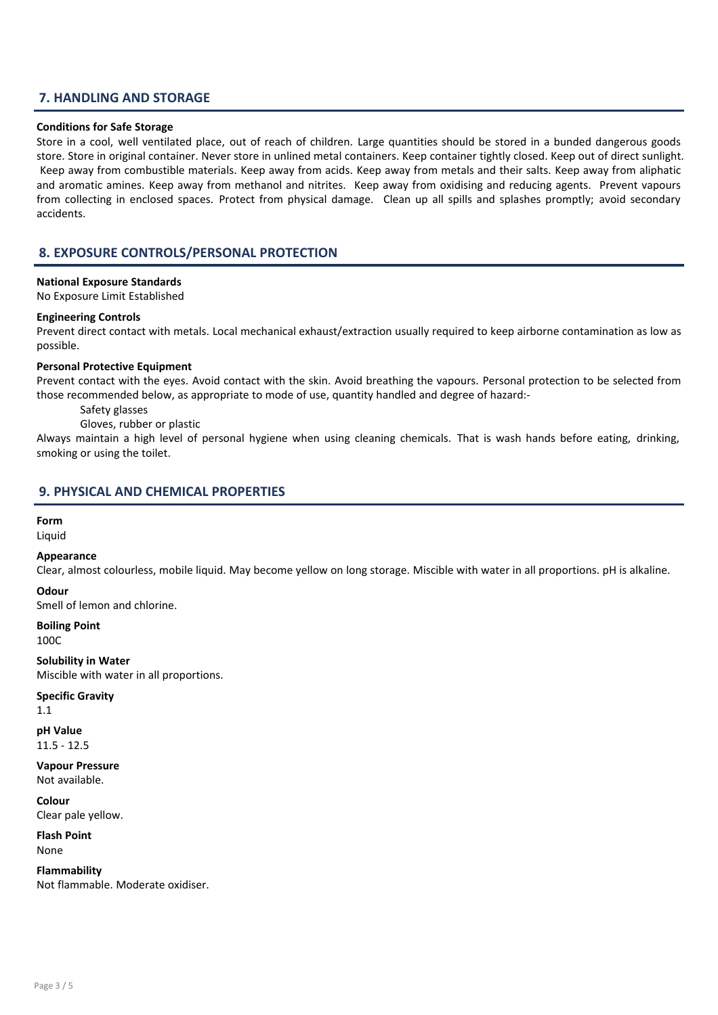## 7. HANDLING AND STORAGE

## Conditions for Safe Storage

Store in a cool, well ventilated place, out of reach of children. Large quantities should be stored in a bunded dangerous goods store. Store in original container. Never store in unlined metal containers. Keep container tightly closed. Keep out of direct sunlight. Keep away from combustible materials. Keep away from acids. Keep away from metals and their salts. Keep away from aliphatic and aromatic amines. Keep away from methanol and nitrites. Keep away from oxidising and reducing agents. Prevent vapours from collecting in enclosed spaces. Protect from physical damage. Clean up all spills and splashes promptly; avoid secondary accidents.

## 8. EXPOSURE CONTROLS/PERSONAL PROTECTION

## National Exposure Standards

No Exposure Limit Established

## Engineering Controls

Prevent direct contact with metals. Local mechanical exhaust/extraction usually required to keep airborne contamination as low as possible.

## Personal Protective Equipment

Prevent contact with the eyes. Avoid contact with the skin. Avoid breathing the vapours. Personal protection to be selected from those recommended below, as appropriate to mode of use, quantity handled and degree of hazard:-

Safety glasses

Gloves, rubber or plastic

Always maintain a high level of personal hygiene when using cleaning chemicals. That is wash hands before eating, drinking, smoking or using the toilet.

## 9. PHYSICAL AND CHEMICAL PROPERTIES

## Form

Liquid

#### Appearance

Clear, almost colourless, mobile liquid. May become yellow on long storage. Miscible with water in all proportions. pH is alkaline.

#### Odour

Smell of lemon and chlorine.

Boiling Point 100C

Solubility in Water Miscible with water in all proportions.

Specific Gravity 1.1

pH Value 11.5 - 12.5

Vapour Pressure Not available.

Colour

Clear pale yellow.

Flash Point None

Flammability Not flammable. Moderate oxidiser.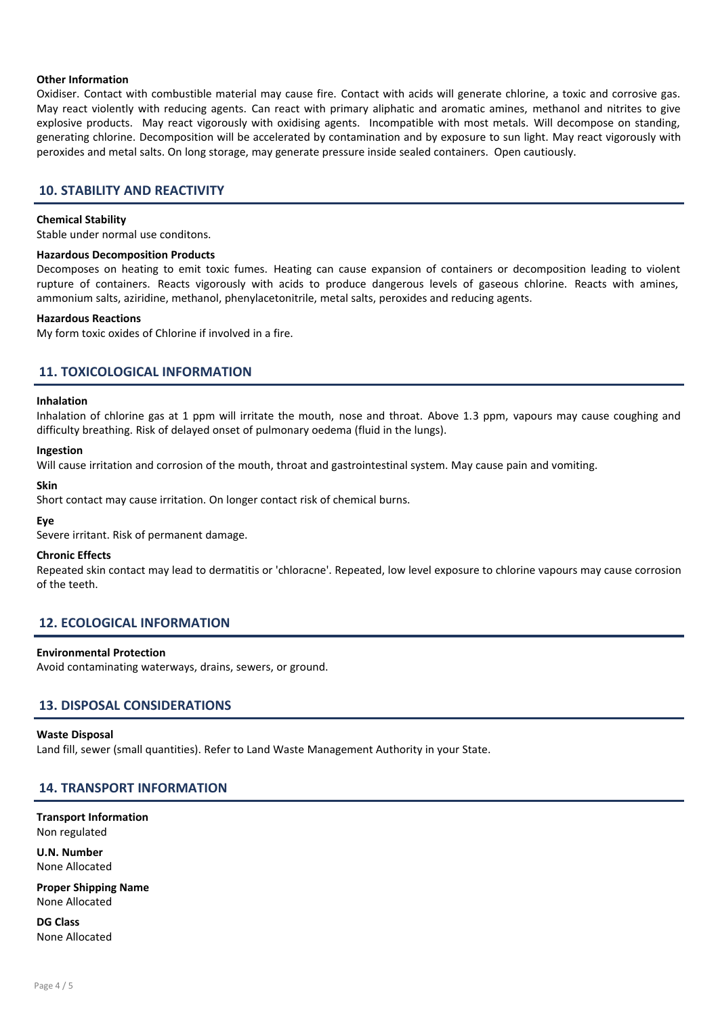## Other Information

Oxidiser. Contact with combustible material may cause fire. Contact with acids will generate chlorine, a toxic and corrosive gas. May react violently with reducing agents. Can react with primary aliphatic and aromatic amines, methanol and nitrites to give explosive products. May react vigorously with oxidising agents. Incompatible with most metals. Will decompose on standing, generating chlorine. Decomposition will be accelerated by contamination and by exposure to sun light. May react vigorously with peroxides and metal salts. On long storage, may generate pressure inside sealed containers. Open cautiously.

## 10. STABILITY AND REACTIVITY

## Chemical Stability

Stable under normal use conditons.

#### Hazardous Decomposition Products

Decomposes on heating to emit toxic fumes. Heating can cause expansion of containers or decomposition leading to violent rupture of containers. Reacts vigorously with acids to produce dangerous levels of gaseous chlorine. Reacts with amines, ammonium salts, aziridine, methanol, phenylacetonitrile, metal salts, peroxides and reducing agents.

#### Hazardous Reactions

My form toxic oxides of Chlorine if involved in a fire.

## 11. TOXICOLOGICAL INFORMATION

#### Inhalation

Inhalation of chlorine gas at 1 ppm will irritate the mouth, nose and throat. Above 1.3 ppm, vapours may cause coughing and difficulty breathing. Risk of delayed onset of pulmonary oedema (fluid in the lungs).

#### Ingestion

Will cause irritation and corrosion of the mouth, throat and gastrointestinal system. May cause pain and vomiting.

#### Skin

Short contact may cause irritation. On longer contact risk of chemical burns.

#### Eye

Severe irritant. Risk of permanent damage.

#### Chronic Effects

Repeated skin contact may lead to dermatitis or 'chloracne'. Repeated, low level exposure to chlorine vapours may cause corrosion of the teeth.

## 12. ECOLOGICAL INFORMATION

#### Environmental Protection

Avoid contaminating waterways, drains, sewers, or ground.

## 13. DISPOSAL CONSIDERATIONS

#### Waste Disposal

Land fill, sewer (small quantities). Refer to Land Waste Management Authority in your State.

## 14. TRANSPORT INFORMATION

Transport Information Non regulated

U.N. Number None Allocated

Proper Shipping Name None Allocated

DG Class None Allocated